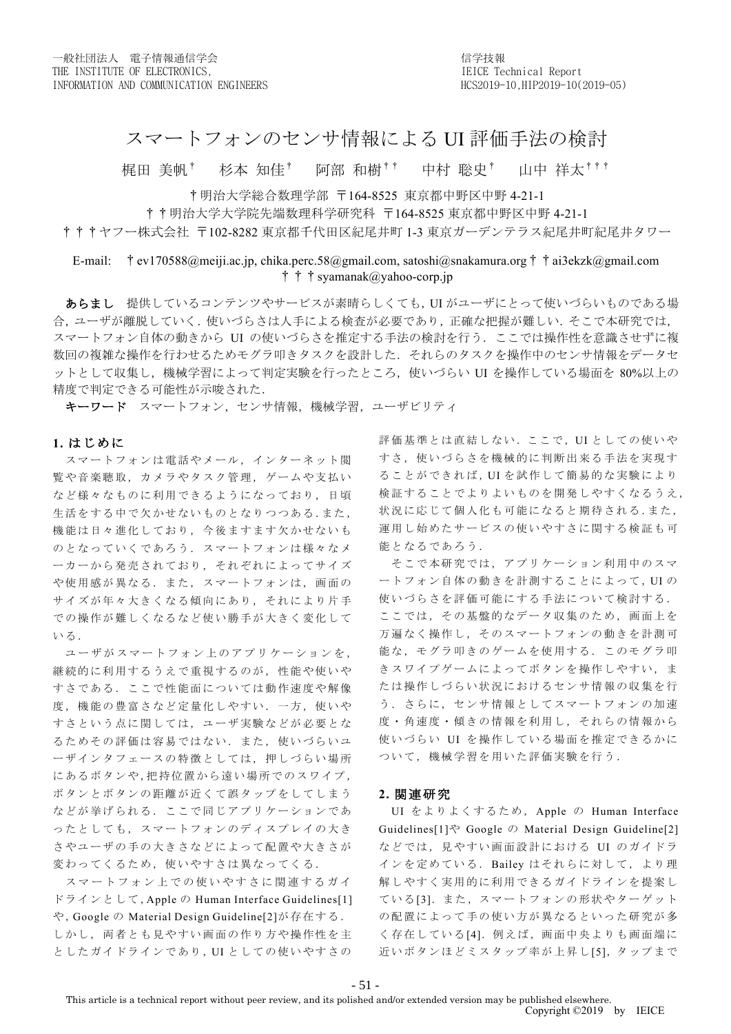# スマートフォンのセンサ情報による UI 評価手法の検討

梶田 美帆† 杉本 知佳† 阿部 和樹†† 中村 聡史† 山中 祥太†††

↑明治大学総合数理学部 〒164-8525 東京都中野区中野 4-21-1

††明治大学大学院先端数理科学研究科 〒164-8525 東京都中野区中野 4-21-1

†††ヤフー株式会社 〒102-8282 東京都千代田区紀尾井町 1-3 東京ガーデンテラス紀尾井町紀尾井タワー

# E-mail: † ev170588@meiji.ac.jp, chika.perc.58@gmail.com, satoshi@snakamura.org † † ai3ekzk@gmail.com † † † syamanak@yahoo-corp.jp

あらまし 提供しているコンテンツやサービスが素晴らしくても、UI がユーザにとって使いづらいものである場 合、ユーザが離脱していく. 使いづらさは人手による検査が必要であり、正確な把握が難しい. そこで本研究では, スマートフォン自体の動きから UI の使いづらさを推定する手法の検討を行う. ここでは操作性を意識させずに複 数回の複雑な操作を行わせるためモグラ叩きタスクを設計した. それらのタスクを操作中のセンサ情報をデータセ ットとして収集し,機械学習によって判定実験を行ったところ,使いづらい UI を操作している場面を 80%以上の 精度で判定できる可能性が示唆された.

キーワード スマートフォン, センサ情報, 機械学習, ユーザビリティ

# 1. はじめに

スマートフォンは電話やメール、インターネット閲 覧や音楽聴取、カメラやタスク管理、ゲームや支払い など様々なものに利用できるようになっており、日頃 生活をする中で欠かせないものとなりつつある.また, 機能は日々進化しており、今後ますます欠かせないも のとなっていくであろう。スマートフォンは様々なメ ーカーから発売されており、それぞれによってサイズ や使用感が異なる. また、スマートフォンは、画面の サイズが年々大きくなる傾向にあり、それにより片手 での操作が難しくなるなど使い勝手が大きく変化して いる.

ユーザがスマートフォン上のアプリケーションを, 継続的に利用するうえで重視するのが、性能や使いや すさである. ここで性能面については動作速度や解像 度、機能の豊富さなど定量化しやすい. 一方, 使いや すさという点に関しては、ユーザ実験などが必要とな るためその評価は容易ではない. また、使いづらいユ ーザインタフェースの特徴としては、押しづらい場所 にあるボタンや,把持位置から遠い場所でのスワイプ, ボタンとボタンの距離が近くて誤タップをしてしまう などが挙げられる。ここで同じアプリケーションであ ったとしても、スマートフォンのディスプレイの大き さやユーザの手の大きさなどによって配置や大きさが 変わってくるため、使いやすさは異なってくる.

スマートフォン上での使いやすさに関連するガイ ドラインとして, Apple の Human Interface Guidelines[1] や, Google の Material Design Guideline[2]が存在する. しかし、両者とも見やすい画面の作り方や操作性を主 としたガイドラインであり, UI としての使いやすさの

評価基準とは直結しない. ここで、UIとしての使いや すさ、使いづらさを機械的に判断出来る手法を実現す ることができれば, UIを試作して簡易的な実験により 検証することでよりよいものを開発しやすくなるうえ. 状況に応じて個人化も可能になると期待される.また, 運用し始めたサービスの使いやすさに関する検証も可 能となるであろう.

そこで本研究では、アプリケーション利用中のスマ ートフォン自体の動きを計測することによって,UIの 使いづらさを評価可能にする手法について検討する. ここでは、その基盤的なデータ収集のため、画面上を 万遍なく操作し、そのスマートフォンの動きを計測可 能な、モグラ叩きのゲームを使用する. このモグラ叩 きスワイプゲームによってボタンを操作しやすい、ま たは操作しづらい状況におけるセンサ情報の収集を行 う. さらに、センサ情報としてスマートフォンの加速 度・角速度・傾きの情報を利用し、それらの情報から 使いづらい UI を操作している場面を推定できるかに ついて、機械学習を用いた評価実験を行う.

# 2. 関連研究

UI をよりよくするため、Apple の Human Interface Guidelines  $[1]$   $\Diamond$  Google  $\Diamond$  Material Design Guideline [2] などでは、見やすい画面設計における UI のガイドラ インを定めている. Bailey はそれらに対して、より理 解しやすく実用的に利用できるガイドラインを提案し ている[3]. また、スマートフォンの形状やターゲット の配置によって手の使い方が異なるといった研究が多 く存在している[4]. 例えば、画面中央よりも画面端に 近いボタンほどミスタップ率が上昇し[5], タップまで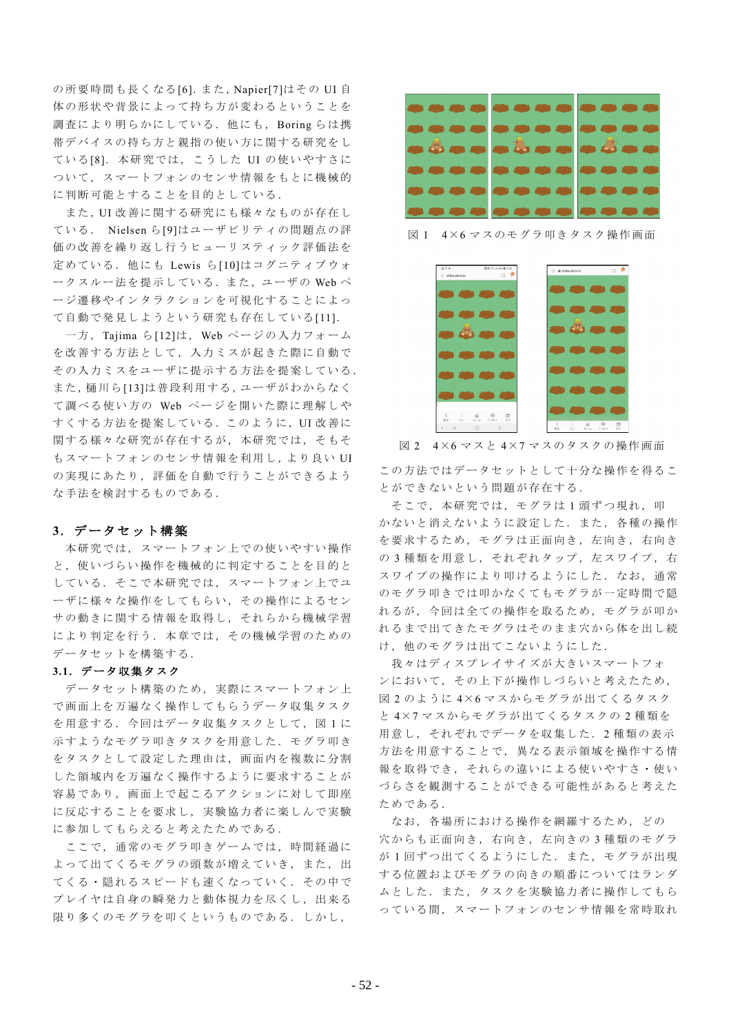の所要時間も長くなる[6]. また, Napier[7]はその UI 自 体の形状や背景によって持ち方が変わるということを 調査により明らかにしている. 他にも、Boringらは携 帯デバイスの持ち方と親指の使い方に関する研究をし ている[8]. 本研究では、こうした UI の使いやすさに ついて、スマートフォンのセンサ情報をもとに機械的 に判断可能とすることを目的としている.

また、UI 改善に関する研究にも様々なものが存在し ている. Nielsen ら[9]はユーザビリティの問題点の評 価の改善を繰り返し行うヒューリスティック評価法を 定めている. 他にも Lewis ら[10]はコグニティブウォ ークスルー法を提示している. また、 ユーザの Web ペ ージ遷移やインタラクションを可視化することによっ て自動で発見しようという研究も存在している[11].

一方, Tajima ら[12]は, Web ページの入力フォーム を改善する方法として、入力ミスが起きた際に自動で その入力ミスをユーザに提示する方法を提案している. また、樋川ら[13]は普段利用する、ユーザがわからなく て調べる使い方の Web ページを開いた際に理解しや すくする方法を提案している. このように, UI 改善に 関する様々な研究が存在するが、本研究では、そもそ もスマートフォンのセンサ情報を利用し、より良い UI の実現にあたり、評価を自動で行うことができるよう な手法を検討するものである.

# 3. データセット構築

本研究では、スマートフォン上での使いやすい操作 と、使いづらい操作を機械的に判定することを目的と している. そこで本研究では、スマートフォン上でユ ーザに様々な操作をしてもらい、その操作によるセン サの動きに関する情報を取得し、それらから機械学習 により判定を行う. 本章では、その機械学習のための データセットを構築する.

# 3.1. データ収集タスク

データセット構築のため、実際にスマートフォン上 で画面上を万遍なく操作してもらうデータ収集タスク を用意する. 今回はデータ収集タスクとして、図1に 示すようなモグラ叩きタスクを用意した、モグラ叩き をタスクとして設定した理由は、画面内を複数に分割 した領域内を万遍なく操作するように要求することが 容易であり、画面上で起こるアクションに対して即座 に反応することを要求し、実験協力者に楽しんで実験 に参加してもらえると考えたためである.

ここで、通常のモグラ叩きゲームでは、時間経過に よって出てくるモグラの頭数が増えていき、また、出 てくる・隠れるスピードも速くなっていく、その中で プレイヤは自身の瞬発力と動体視力を尽くし、出来る 限り多くのモグラを叩くというものである。しかし、



図 1 4×6マスのモグラ叩きタスク操作画面



図 2 4×6 マスと 4×7 マスのタスクの操作画面

この方法ではデータセットとして十分な操作を得るこ とができないという問題が存在する.

そこで、本研究では、モグラは1頭ずつ現れ、叩 かないと消えないように設定した。また、各種の操作 を要求するため、モグラは正面向き、左向き、右向き の3種類を用意し、それぞれタップ、左スワイプ、右 スワイプの操作により叩けるようにした。なお、通常 のモグラ叩きでは叩かなくてもモグラが一定時間で隠 れるが、今回は全ての操作を取るため、モグラが叩か れるまで出てきたモグラはそのまま穴から体を出し続 け、他のモグラは出てこないようにした.

我々はディスプレイサイズが大きいスマートフォ ンにおいて、その上下が操作しづらいと考えたため, 図 2 のように 4×6 マスからモグラが出てくるタスク と 4×7 マスからモグラが出てくるタスクの2種類を 用意し、それぞれでデータを収集した. 2種類の表示 方法を用意することで、異なる表示領域を操作する情 報を取得でき、それらの違いによる使いやすさ・使い づらさを観測することができる可能性があると考えた ためである.

なお、各場所における操作を網羅するため、どの 穴からも正面向き、右向き、左向きの3種類のモグラ が1回ずつ出てくるようにした. また、モグラが出現 する位置およびモグラの向きの順番についてはランダ ムとした. また、タスクを実験協力者に操作してもら っている間、スマートフォンのセンサ情報を常時取れ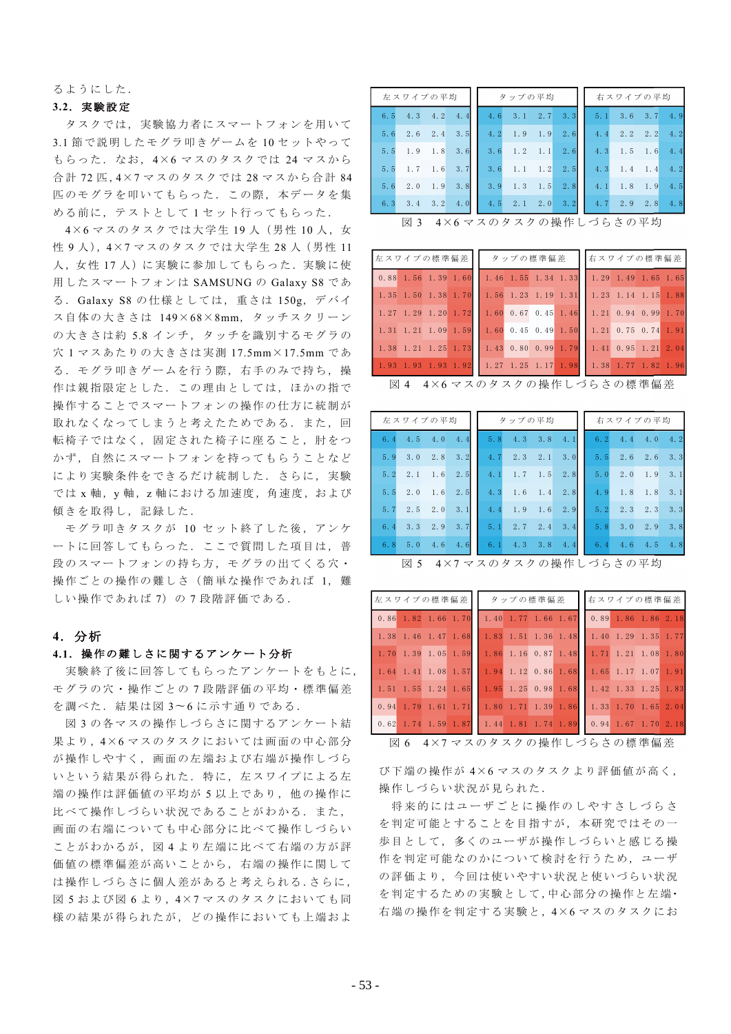# るようにした.

# 3.2. 実験設定

タスクでは、実験協力者にスマートフォンを用いて 3.1 節で説明したモグラ叩きゲームを 10 セットやって もらった. なお, 4×6 マスのタスクでは 24 マスから 合計 72 匹, 4×7 マスのタスクでは 28 マスから合計 84 匹のモグラを叩いてもらった. この際、本データを集 める前に、テストとして1セット行ってもらった.

4×6マスのタスクでは大学生 19 人 (男性 10 人, 女 性9人), 4×7マスのタスクでは大学生 28人 (男性 11 人、女性17人)に実験に参加してもらった。実験に使 用したスマートフォンは SAMSUNG の Galaxy S8 であ る. Galaxy S8 の仕様としては、 重さは 150g, デバイ ス自体の大きさは 149×68×8mm, タッチスクリーン の大きさは約 5.8 インチ, タッチを識別するモグラの 穴1マスあたりの大きさは実測 17.5mm×17.5mm であ る. モグラ叩きゲームを行う際、右手のみで持ち、操 作は親指限定とした。この理由としては、ほかの指で 操作することでスマートフォンの操作の仕方に統制が 取れなくなってしまうと考えたためである. また、回 転椅子ではなく、固定された椅子に座ること、肘をつ かず、自然にスマートフォンを持ってもらうことなど により実験条件をできるだけ統制した. さらに、実験  $\nabla^2$   $\sigma$   $\vec{x}$   $\vec{y}$   $\vec{z}$   $\vec{y}$   $\vec{z}$   $\vec{z}$   $\vec{y}$   $\vec{z}$   $\vec{z}$   $\vec{y}$   $\vec{z}$   $\vec{z}$   $\vec{y}$   $\vec{z}$   $\vec{z}$   $\vec{y}$   $\vec{z}$   $\vec{z}$   $\vec{y}$   $\vec{z}$   $\vec{z}$   $\vec{z}$   $\vec{z}$   $\vec{z}$   $\vec{y}$   $\vec{z}$  傾きを取得し, 記録した.

モグラ叩きタスクが 10 セット終了した後、アンケ ートに回答してもらった。ここで質問した項目は、普 段のスマートフォンの持ち方、モグラの出てくる穴· 操作ごとの操作の難しさ(簡単な操作であれば 1,難 しい操作であれば 7)の7段階評価である.

# 4. 分析

# 4.1. 操作の難しさに関するアンケート分析

実験終了後に回答してもらったアンケートをもとに, モグラの穴・操作ごとの7段階評価の平均・標準偏差 を調べた. 結果は図  $3 \sim 6$ に示す通りである.

図3の各マスの操作しづらさに関するアンケート結 果より、4×6マスのタスクにおいては画面の中心部分 が操作しやすく、画面の左端および右端が操作しづら いという結果が得られた. 特に、左スワイプによる左 端の操作は評価値の平均が5以上であり、他の操作に 比べて操作しづらい状況であることがわかる. また, 画面の右端についても中心部分に比べて操作しづらい ことがわかるが、図4より左端に比べて右端の方が評 価値の標準偏差が高いことから、右端の操作に関して は操作しづらさに個人差があると考えられる.さらに, 図 5 および図 6 より, 4×7 マスのタスクにおいても同 様の結果が得られたが、どの操作においても上端およ

| 左スワイプの平均                                           | タップの平均 |  |  | 右スワイプの平均 |  |  |  |
|----------------------------------------------------|--------|--|--|----------|--|--|--|
| 6.5 4.3 4.2 4.4 4.6 3.1 2.7 3.3 5.1 3.6 3.7 4.9    |        |  |  |          |  |  |  |
| 5.6 2.6 2.4 3.5 4.2 1.9 1.9 2.6 4.4 2.2 2.2 4.2    |        |  |  |          |  |  |  |
| 5.5 1.9 1.8 3.6 3.6 1.2 1.1 2.6 4.3 1.5 1.6 4.4    |        |  |  |          |  |  |  |
| 5.5 1.7 1.6 3.7 3.6 1.1 1.2 2.5 4.3 1.4 1.4 4.2    |        |  |  |          |  |  |  |
| 2.0 1.9 3.8 3.9 1.3 1.5 2.8 4.1 1.8 1.9 4.5<br>5.6 |        |  |  |          |  |  |  |
| 6.3 3.4 3.2 4.0 4.5 2.1 2.0 3.2 4.7 2.9 2.8 4.8    |        |  |  |          |  |  |  |

4×6マスのタスクの操作しづらさの平均

|  | 左スワイプの標準偏差 |  |  |  | タップの標準偏差 ┃┃右スワイプの標準偏差                                       |  |  |
|--|------------|--|--|--|-------------------------------------------------------------|--|--|
|  |            |  |  |  | 0.88 1.56 1.39 1.60 1.46 1.55 1.34 1.33 1.29 1.49 1.65 1.65 |  |  |
|  |            |  |  |  | 1.35 1.50 1.38 1.70 1.56 1.23 1.19 1.31 1.23 1.14 1.15 1.88 |  |  |
|  |            |  |  |  |                                                             |  |  |
|  |            |  |  |  | 1.31 1.21 1.09 1.59 1.60 0.45 0.49 1.50 1.21 0.75 0.74 1.91 |  |  |
|  |            |  |  |  | 1.38 1.21 1.25 1.73 1.43 0.80 0.99 1.79 1.41 0.95 1.21 2.04 |  |  |
|  |            |  |  |  | 1.93 1.93 1.93 1.92 1.27 1.25 1.17 1.98 1.38 1.77 1.82 1.96 |  |  |

図 4 4×6 マスのタスクの操作しづらさの標準偏差

|     | 左スワイプの平均 |  |                                    | タップの平均 |  |  | 右スワイプの平均                                        |  |                         |  |  |
|-----|----------|--|------------------------------------|--------|--|--|-------------------------------------------------|--|-------------------------|--|--|
|     |          |  |                                    |        |  |  | 6.4 4.5 4.0 4.4 5.8 4.3 3.8 4.1 6.2 4.4 4.0 4.2 |  |                         |  |  |
|     |          |  | 5.9 3.0 2.8 3.2 4.7 2.3 2.1 3.0    |        |  |  |                                                 |  | $5.5$ 2.6 2.6 3.3       |  |  |
| 5.2 |          |  | 2. 1 1. 6 2. 5 4. 1 1. 7 1. 5 2. 8 |        |  |  |                                                 |  | $5.0$ $2.0$ $1.9$ $3.1$ |  |  |
|     |          |  | 5.5 2.0 1.6 2.5 4.3 1.6 1.4 2.8    |        |  |  |                                                 |  | $4.9$ 1.8 1.8 3.1       |  |  |
| 5.7 |          |  | 2.5 2.0 3.1 4.4 1.9 1.6 2.9        |        |  |  |                                                 |  | $5.2$ 2.3 2.3 3.3       |  |  |
|     |          |  | 6.4 3.3 2.9 3.7 5.1 2.7 2.4 3.4    |        |  |  |                                                 |  | $5.8$ 3.0 2.9 3.8       |  |  |
|     |          |  |                                    |        |  |  | 6.8 5.0 4.6 4.6 6.1 4.3 3.8 4.4 6.4 4.6 4.5 4.8 |  |                         |  |  |

図 5 4×7 マスのタスクの操作しづらさの平均

| 左スワイプの標準偏差                                                      |  |  | タップの標準偏差 |  |  |  | 右スワイプの標準偏差 |  |  |  |  |
|-----------------------------------------------------------------|--|--|----------|--|--|--|------------|--|--|--|--|
| 0.86 1.82 1.66 1.70 1.40 1.77 1.66 1.67 0.89 1.86 1.86 2.18     |  |  |          |  |  |  |            |  |  |  |  |
| 1.38 1.46 1.47 1.68   1.83 1.51 1.36 1.48   1.40 1.29 1.35 1.77 |  |  |          |  |  |  |            |  |  |  |  |
| 1.70 1.39 1.05 1.59 1.86 1.16 0.87 1.48 1.71 1.21 1.08 1.80     |  |  |          |  |  |  |            |  |  |  |  |
| 1.64 1.41 1.08 1.57   1.94 1.12 0.86 1.68   1.65 1.17 1.07 1.91 |  |  |          |  |  |  |            |  |  |  |  |
| 1.51 1.55 1.24 1.65   1.95 1.25 0.98 1.68   1.42 1.33 1.25 1.83 |  |  |          |  |  |  |            |  |  |  |  |
| 0.94 1.79 1.61 1.71 1.80 1.71 1.39 1.86 1.33 1.70 1.65 2.04     |  |  |          |  |  |  |            |  |  |  |  |
| 0.62 1.74 1.59 1.87 1.44 1.81 1.74 1.89 0.94 1.67 1.70 2.18     |  |  |          |  |  |  |            |  |  |  |  |

 $\overline{\boxtimes}$  6 4×7 マスのタスクの操作しづらさの標準偏差

び下端の操作が 4×6 マスのタスクより評価値が高く, 操作しづらい状況が見られた.

将来的にはユーザごとに操作のしやすさしづらさ を判定可能とすることを目指すが、本研究ではその一 歩目として、多くのユーザが操作しづらいと感じる操 作を判定可能なのかについて検討を行うため、ユーザ の評価より、今回は使いやすい状況と使いづらい状況 を判定するための実験として,中心部分の操作と左端· 右端の操作を判定する実験と, 4×6マスのタスクにお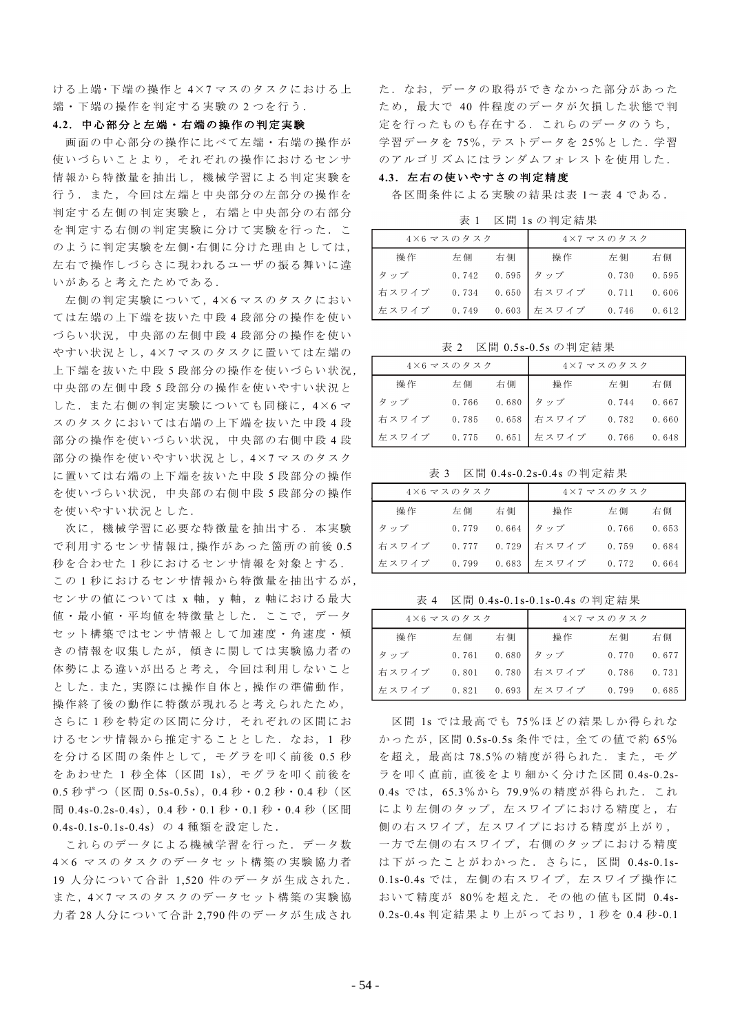ける上端·下端の操作と 4×7マスのタスクにおける上 端·下端の操作を判定する実験の2つを行う.

## 4.2. 中心部分と左端・右端の操作の判定実験

画面の中心部分の操作に比べて左端·右端の操作が 使いづらいことより、それぞれの操作におけるセンサ 情報から特徴量を抽出し、機械学習による判定実験を 行う. また、今回は左端と中央部分の左部分の操作を 判定する左側の判定実験と、右端と中央部分の右部分 を判定する右側の判定実験に分けて実験を行った. こ のように判定実験を左側·右側に分けた理由としては, 左右で操作しづらさに現われるユーザの振る舞いに違 いがあると考えたためである.

左側の判定実験について, 4×6マスのタスクにおい ては左端の上下端を抜いた中段4段部分の操作を使い づらい状況, 中央部の左側中段4段部分の操作を使い やすい状況とし, 4×7マスのタスクに置いては左端の 上下端を抜いた中段5段部分の操作を使いづらい状況, 中央部の左側中段5段部分の操作を使いやすい状況と した. また右側の判定実験についても同様に, 4×6マ スのタスクにおいては右端の上下端を抜いた中段4段 部分の操作を使いづらい状況, 中央部の右側中段4段 部分の操作を使いやすい状況とし、4×7マスのタスク に置いては右端の上下端を抜いた中段5段部分の操作 を使いづらい状況、中央部の右側中段5段部分の操作 を使いやすい状況とした.

次に、機械学習に必要な特徴量を抽出する。本実験 で利用するセンサ情報は、操作があった箇所の前後 0.5 秒を合わせた1秒におけるセンサ情報を対象とする. この1秒におけるセンサ情報から特徴量を抽出するが, センサの値については x 軸, y 軸, z 軸における最大 値・最小値・平均値を特徴量とした. ここで、データ セット構築ではセンサ情報として加速度・角速度・傾 きの情報を収集したが、傾きに関しては実験協力者の 体勢による違いが出ると考え、今回は利用しないこと とした. また,実際には操作自体と,操作の準備動作, 操作終了後の動作に特徴が現れると考えられたため, さらに1秒を特定の区間に分け、それぞれの区間にお けるセンサ情報から推定することとした. なお, 1 秒 を分ける区間の条件として、モグラを叩く前後 0.5 秒 をあわせた 1 秒全体 (区間 1s), モグラを叩く前後を 0.5 秒ずつ (区間 0.5s-0.5s), 0.4 秒・0.2 秒・0.4 秒 (区 間 0.4s-0.2s-0.4s), 0.4 秒 · 0.1 秒 · 0.1 秒 · 0.4 秒 (区間 0.4s-0.1s-0.1s-0.4s) の 4 種類を設定した.

これらのデータによる機械学習を行った、データ数 4×6 マスのタスクのデータセット構築の実験協力者 19 人分について合計 1,520 件のデータが生成された. また, 4×7 マスのタスクのデータセット構築の実験協 力者 28 人分について合計 2,790 件のデータが生成され た、なお、データの取得ができなかった部分があった ため、最大で 40 件程度のデータが欠損した状態で判 定を行ったものも存在する. これらのデータのうち, 学習データを75%,テストデータを25%とした. 学習 のアルゴリズムにはランダムフォレストを使用した.

# 4.3. 左右の使いやすさの判定精度

各区間条件による実験の結果は表1~表4である.

表 1 区間 1s の判定結果

|       | 4×6 マスのタスク |       | 4×7 マスのタスク  |       |       |  |  |
|-------|------------|-------|-------------|-------|-------|--|--|
| 操作    | 左側         | 右側    | 操作          | 左側    | 右側    |  |  |
| タップ   | 0.742      |       | 0.595 タップ   | 0.730 | 0.595 |  |  |
| 右スワイプ | 0.734      |       | 0.650 右スワイプ | 0.711 | 0.606 |  |  |
| 左スワイプ | 0.749      | 0.603 | 左スワイプ       | 0.746 | 0.612 |  |  |

表 2 区間 0.5s-0.5s の判定結果

|       | 4×6 マスのタスク |       |             | 4×7 マスのタスク |       |
|-------|------------|-------|-------------|------------|-------|
| 操作    | 左側         | 右側    | 操作          | 左側         | 右側    |
| タップ   | 0.766      | 0.680 | タップ         | 0.744      | 0.667 |
| 右スワイプ | 0.785      |       | 0.658 右スワイプ | 0.782      | 0.660 |
| 左スワイプ | 0.775      | 0.651 | 左スワイプ       | 0.766      | 0.648 |

表 3 区間 0.4s-0.2s-0.4s の判定結果

|       | 4×6 マスのタスク |       | 4×7 マスのタスク |       |       |  |  |
|-------|------------|-------|------------|-------|-------|--|--|
| 操作    | 左側         | 右側    | 操作         | 左側    | 右側    |  |  |
| タップ   | 0.779      | 0.664 | タップ        | 0.766 | 0.653 |  |  |
| 右スワイプ | 0.777      | 0.729 | 右スワイプ      | 0.759 | 0.684 |  |  |
| 左スワイプ | 0.799      | 0.683 | 左スワイプ      | 0.772 | 0.664 |  |  |

表 4 区間 0.4s-0.1s-0.1s-0.4s の判定結果

|       | 4×6 マスのタスク |               |             | 4×7 マスのタスク |       |
|-------|------------|---------------|-------------|------------|-------|
| 操作    | 左側         | 右側            | 操作          | 左側         | 右側    |
| タップ   | 0.761      | 0.680         | タップ         | 0.770      | 0.677 |
| 右スワイプ | 0.801      |               | 0.780 右スワイプ | 0.786      | 0.731 |
| 左スワイプ |            | $0.821$ 0.693 | 左スワイプ       | 0.799      | 0.685 |

区間 1s では最高でも 75%ほどの結果しか得られな かったが,区間 0.5s-0.5s 条件では,全ての値で約 65% を超え、最高は78.5%の精度が得られた. また、モグ ラを叩く直前, 直後をより細かく分けた区間 0.4s-0.2s-0.4s では, 65.3%から 79.9%の精度が得られた. これ により左側のタップ、左スワイプにおける精度と、右 側の右スワイプ, 左スワイプにおける精度が上がり, 一方で左側の右スワイプ、右側のタップにおける精度 は下がったことがわかった. さらに, 区間 0.4s-0.1s-0.1s-0.4s では、左側の右スワイプ、左スワイプ操作に おいて精度が 80%を超えた. その他の値も区間 0.4s-0.2s-0.4s 判定結果より上がっており, 1秒を0.4秒-0.1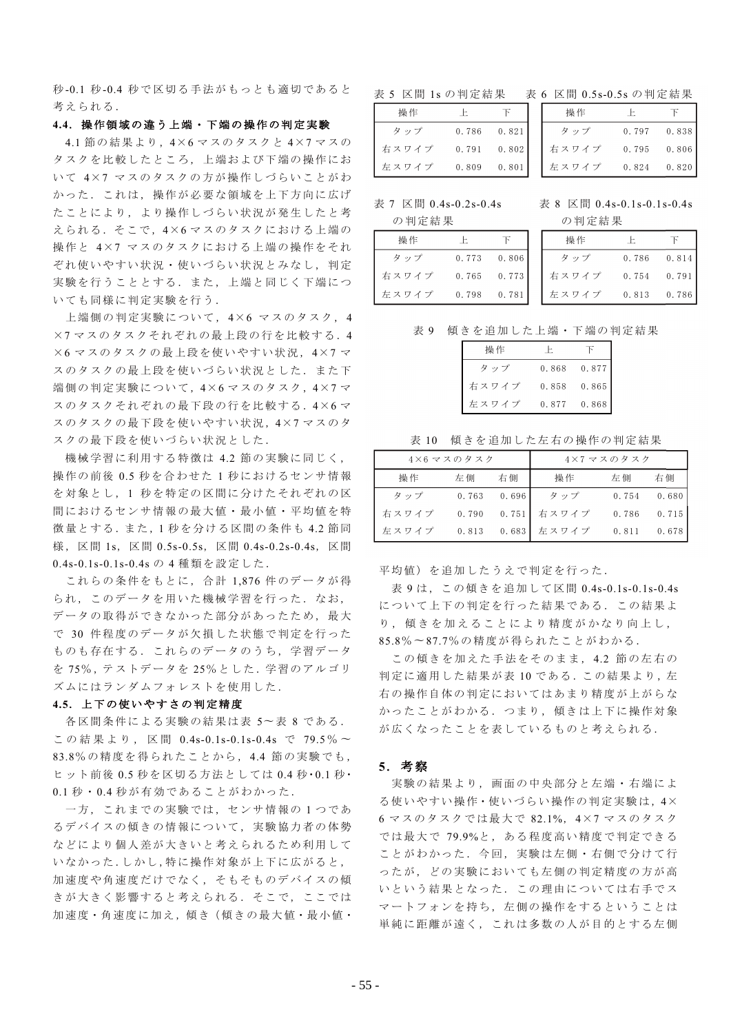秒-0.1 秒-0.4 秒で区切る手法がもっとも適切であると 老えられる。

# 4.4. 操作領域の違う上端·下端の操作の判定実験

4.1 節の結果より, 4×6 マスのタスクと 4×7 マスの タスクを比較したところ、上端および下端の操作にお いて 4×7 マスのタスクの方が操作しづらいことがわ かった. これは、操作が必要な領域を上下方向に広げ たことにより、より操作しづらい状況が発生したと考 えられる. そこで, 4×6マスのタスクにおける上端の 操作と 4×7 マスのタスクにおける上端の操作をそれ ぞれ使いやすい状況·使いづらい状況とみなし、判定 実験を行うこととする。また、上端と同じく下端につ いても同様に判定実験を行う.

上端側の判定実験について、 $4\times6$  マスのタスク, 4 ×7 マスのタスクそれぞれの最上段の行を比較する. 4  $\times$ 6 マスのタスクの最上段を使いやすい状況, 4×7 マ スのタスクの最上段を使いづらい状況とした。また下 端側の判定実験について, 4×6 マスのタスク, 4×7 マ スのタスクそれぞれの最下段の行を比較する. 4×6マ スのタスクの最下段を使いやすい状況, 4×7マスのタ スクの最下段を使いづらい状況とした.

機械学習に利用する特徴は 4.2 節の実験に同じく, 操作の前後 0.5 秒を合わせた 1 秒におけるセンサ情報 を対象とし、1 秒を特定の区間に分けたそれぞれの区 間におけるセンサ情報の最大値・最小値・平均値を特 徴量とする. また, 1 秒を分ける区間の条件も 4.2 節同 樣, 区間 1s, 区間 0.5s-0.5s, 区間 0.4s-0.2s-0.4s, 区間 0.4s-0.1s-0.1s-0.4s の 4 種類を設定した.

これらの条件をもとに,合計 1,876 件のデータが得 られ、このデータを用いた機械学習を行った. なお, データの取得ができなかった部分があったため、最大 で 30 件程度のデータが欠損した状態で判定を行った ものも存在する。これらのデータのうち、学習データ を75%,テストデータを25%とした. 学習のアルゴリ ズムにはランダムフォレストを使用した.

# 4.5. 上下の使いやすさの判定精度

各区間条件による実験の結果は表 5~表 8 である. この結果より, 区間 0.4s-0.1s-0.1s-0.4s で 79.5%~ 83.8%の精度を得られたことから、4.4 節の実験でも, ヒット前後 0.5 秒を区切る方法としては 0.4 秒·0.1 秒·  $0.1$ 秒· $0.4$ 秒が有効であることがわかった.

一方、これまでの実験では、センサ情報の1つであ るデバイスの傾きの情報について、実験協力者の体勢 などにより個人差が大きいと考えられるため利用して いなかった.しかし,特に操作対象が上下に広がると, 加速度や角速度だけでなく、そもそものデバイスの傾 きが大きく影響すると考えられる. そこで、ここでは 加速度·角速度に加え、傾き(傾きの最大値·最小値·

表 5 区間 1s の判定結果 表 6 区間 0.5s-0.5s の判定結果

| 操作    | $\mathbb{H}$ |       |  |  |
|-------|--------------|-------|--|--|
| タップ   | 0.786        | 0.821 |  |  |
| 右スワイプ | 0.791        | 0.802 |  |  |
| 左スワイプ | 0.809        | 0.801 |  |  |

操作 さしこ 下の | | 操作 の 上に の 下の | | | 操作 の の 上に の 下の 下 タップ 797 7 0.838 右スワイプ 795 0.  $0.806$ 左スワイプ 0 824  $0.820$ 

の判定結果 の判定結果

| 操作    |       |       |
|-------|-------|-------|
| タップ   | 0.773 | 0.806 |
| 右スワイプ | 0.765 | 0.773 |
| 左スワイプ | 0.798 | 0.781 |

Ʋ 7 ¾ǫ 0.4s-0.2s-0.4s Ʋ 8 ¾ǫ 0.4s-0.1s-0.1s-0.4s

| 操作                                   |                 |  | 操作          |                 |       |
|--------------------------------------|-----------------|--|-------------|-----------------|-------|
| マップー                                 | $0.773$ $0.806$ |  | タップ         | 0.786           | 0.814 |
| $S \cup 7$ $\rightarrow$ 0.765 0.773 |                 |  | 右スワイプ       | $0.754$ $0.791$ |       |
| くワイプ 0.798 0.781                     |                 |  | 左スワイプ 0.813 |                 | 0.786 |

表9 傾きを追加した上端·下端の判定結果

| 操作    | $\vdash$ |       |
|-------|----------|-------|
| タップ   | 0.868    | 0.877 |
| 右スワイプ | 0.858    | 0.865 |
| 左スワイプ | 0.877    | 0.868 |

表 10 傾きを追加した左右の操作の判定結果

| 4×6 マスのタスク |       |       | 4×7 マスのタスク  |       |       |
|------------|-------|-------|-------------|-------|-------|
| 操作         | 左側    | 右側    | 操作          | 左側    | 右側    |
| タップ        | 0.763 | 0.696 | タップ         | 0.754 | 0.680 |
| 右スワイプ      | 0.790 |       | 0.751 右スワイプ | 0.786 | 0.715 |
| 左スワイプ      | 0.813 | 0.683 | 左スワイプ       | 0.811 | 0.678 |

平均値)を追加したうえで判定を行った.

表 9 は, この傾きを追加して区間 0.4s-0.1s-0.1s-0.4s について上下の判定を行った結果である. この結果よ り、傾きを加えることにより精度がかなり向上し, 85.8%~87.7%の精度が得られたことがわかる.

この傾きを加えた手法をそのまま、4.2 節の左右の 判定に適用した結果が表10である。この結果より、左 右の操作自体の判定においてはあまり精度が上がらな かったことがわかる. つまり、傾きは上下に操作対象 が広くなったことを表しているものと考えられる.

# **5. 考察**

実験の結果より、画面の中央部分と左端・右端によ る使いやすい操作·使いづらい操作の判定実験は, 4× 6マスのタスクでは最大で 82.1%,4×7 マスのタスク では最大で 79.9%と、ある程度高い精度で判定できる ことがわかった. 今回,実験は左側・右側で分けて行 ったが、どの実験においても左側の判定精度の方が高 いという結果となった. この理由については右手でス マートフォンを持ち、左側の操作をするということは 単純に距離が遠く、これは多数の人が目的とする左側